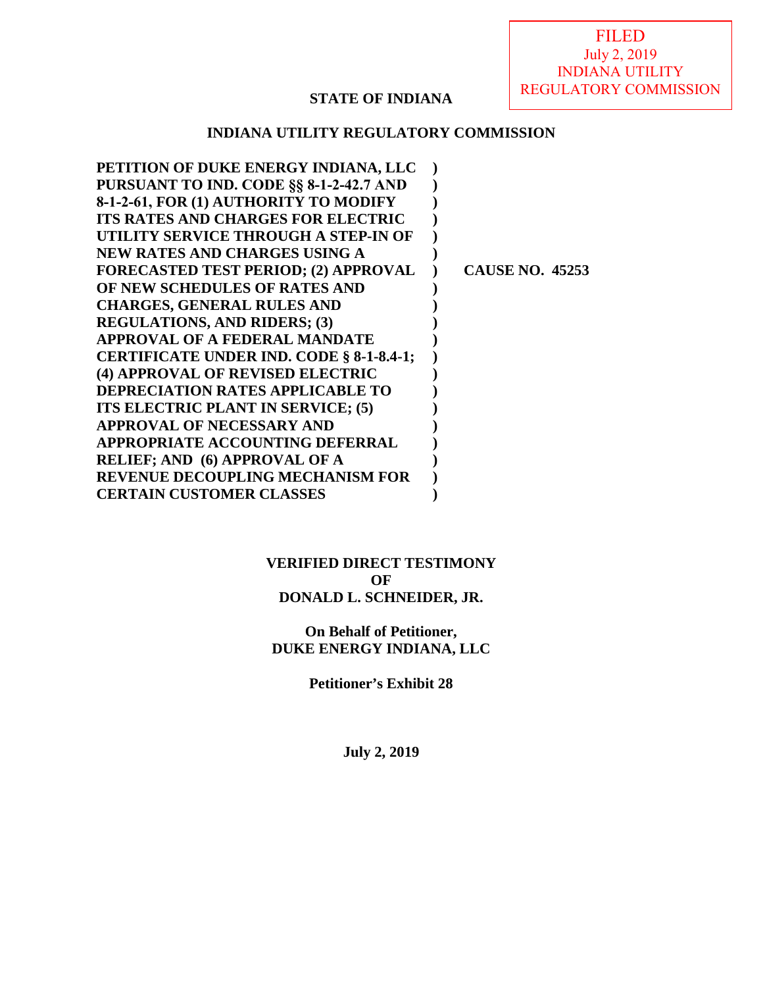FILED July 2, 2019 INDIANA UTILITY REGULATORY COMMISSION

## **STATE OF INDIANA**

### **INDIANA UTILITY REGULATORY COMMISSION**

| PETITION OF DUKE ENERGY INDIANA, LLC        |                        |
|---------------------------------------------|------------------------|
| PURSUANT TO IND. CODE §§ 8-1-2-42.7 AND     |                        |
| 8-1-2-61, FOR (1) AUTHORITY TO MODIFY       |                        |
| <b>ITS RATES AND CHARGES FOR ELECTRIC</b>   |                        |
| UTILITY SERVICE THROUGH A STEP-IN OF        |                        |
| <b>NEW RATES AND CHARGES USING A</b>        |                        |
| <b>FORECASTED TEST PERIOD; (2) APPROVAL</b> | <b>CAUSE NO. 45253</b> |
| OF NEW SCHEDULES OF RATES AND               |                        |
| <b>CHARGES, GENERAL RULES AND</b>           |                        |
| <b>REGULATIONS, AND RIDERS; (3)</b>         |                        |
| APPROVAL OF A FEDERAL MANDATE               |                        |
| CERTIFICATE UNDER IND. CODE § 8-1-8.4-1;    |                        |
| (4) APPROVAL OF REVISED ELECTRIC            |                        |
| <b>DEPRECIATION RATES APPLICABLE TO</b>     |                        |
| ITS ELECTRIC PLANT IN SERVICE; (5)          |                        |
| <b>APPROVAL OF NECESSARY AND</b>            |                        |
| APPROPRIATE ACCOUNTING DEFERRAL             |                        |
| <b>RELIEF; AND (6) APPROVAL OF A</b>        |                        |
| <b>REVENUE DECOUPLING MECHANISM FOR</b>     |                        |
| <b>CERTAIN CUSTOMER CLASSES</b>             |                        |

### **VERIFIED DIRECT TESTIMONY OF DONALD L. SCHNEIDER, JR.**

**On Behalf of Petitioner, DUKE ENERGY INDIANA, LLC**

**Petitioner's Exhibit 28** 

**July 2, 2019**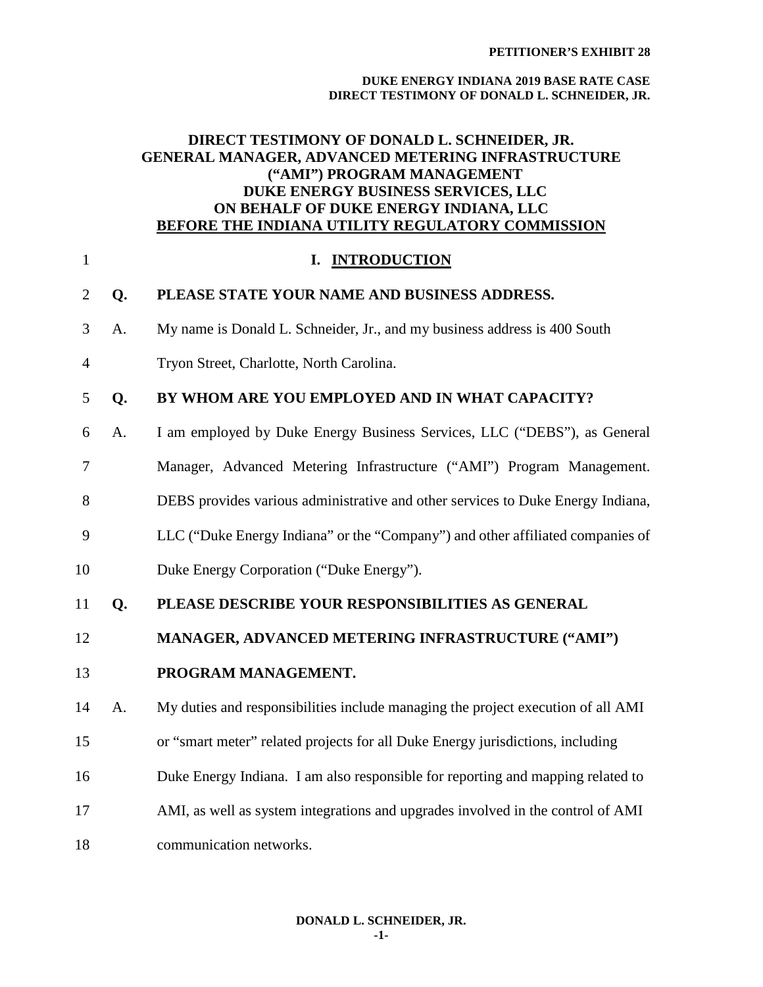#### **DUKE ENERGY INDIANA 2019 BASE RATE CASE DIRECT TESTIMONY OF DONALD L. SCHNEIDER, JR.**

### **DIRECT TESTIMONY OF DONALD L. SCHNEIDER, JR. GENERAL MANAGER, ADVANCED METERING INFRASTRUCTURE ("AMI") PROGRAM MANAGEMENT DUKE ENERGY BUSINESS SERVICES, LLC ON BEHALF OF DUKE ENERGY INDIANA, LLC BEFORE THE INDIANA UTILITY REGULATORY COMMISSION**

| $\mathbf{1}$   |    | I. INTRODUCTION                                                                  |
|----------------|----|----------------------------------------------------------------------------------|
| $\overline{2}$ | Q. | PLEASE STATE YOUR NAME AND BUSINESS ADDRESS.                                     |
| 3              | A. | My name is Donald L. Schneider, Jr., and my business address is 400 South        |
| $\overline{4}$ |    | Tryon Street, Charlotte, North Carolina.                                         |
| 5              | Q. | BY WHOM ARE YOU EMPLOYED AND IN WHAT CAPACITY?                                   |
| 6              | A. | I am employed by Duke Energy Business Services, LLC ("DEBS"), as General         |
| $\overline{7}$ |    | Manager, Advanced Metering Infrastructure ("AMI") Program Management.            |
| 8              |    | DEBS provides various administrative and other services to Duke Energy Indiana,  |
| 9              |    | LLC ("Duke Energy Indiana" or the "Company") and other affiliated companies of   |
| 10             |    | Duke Energy Corporation ("Duke Energy").                                         |
| 11             | Q. | PLEASE DESCRIBE YOUR RESPONSIBILITIES AS GENERAL                                 |
| 12             |    | MANAGER, ADVANCED METERING INFRASTRUCTURE ("AMI")                                |
| 13             |    | PROGRAM MANAGEMENT.                                                              |
| 14             | A. | My duties and responsibilities include managing the project execution of all AMI |
| 15             |    | or "smart meter" related projects for all Duke Energy jurisdictions, including   |
| 16             |    | Duke Energy Indiana. I am also responsible for reporting and mapping related to  |
| 17             |    | AMI, as well as system integrations and upgrades involved in the control of AMI  |
| 18             |    | communication networks.                                                          |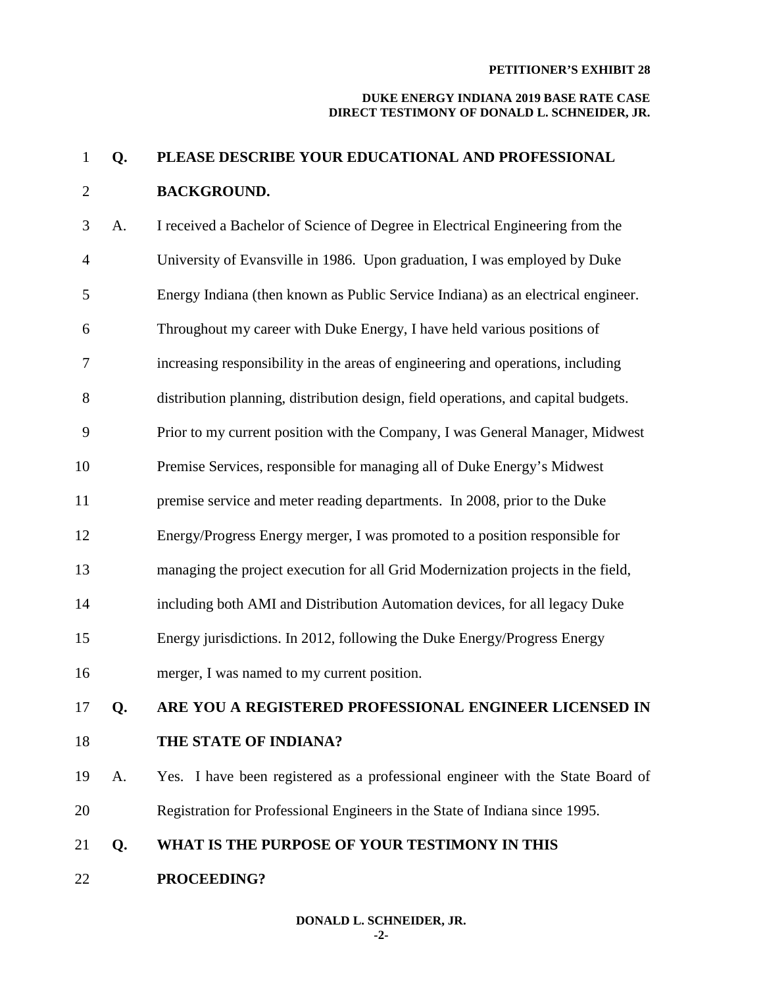#### **DUKE ENERGY INDIANA 2019 BASE RATE CASE DIRECT TESTIMONY OF DONALD L. SCHNEIDER, JR.**

# 1 **Q. PLEASE DESCRIBE YOUR EDUCATIONAL AND PROFESSIONAL**  2 **BACKGROUND.**

3 A. I received a Bachelor of Science of Degree in Electrical Engineering from the 4 University of Evansville in 1986. Upon graduation, I was employed by Duke 5 Energy Indiana (then known as Public Service Indiana) as an electrical engineer. 6 Throughout my career with Duke Energy, I have held various positions of 7 increasing responsibility in the areas of engineering and operations, including 8 distribution planning, distribution design, field operations, and capital budgets. 9 Prior to my current position with the Company, I was General Manager, Midwest 10 Premise Services, responsible for managing all of Duke Energy's Midwest 11 premise service and meter reading departments. In 2008, prior to the Duke 12 Energy/Progress Energy merger, I was promoted to a position responsible for 13 managing the project execution for all Grid Modernization projects in the field, 14 including both AMI and Distribution Automation devices, for all legacy Duke 15 Energy jurisdictions. In 2012, following the Duke Energy/Progress Energy 16 merger, I was named to my current position. 17 **Q. ARE YOU A REGISTERED PROFESSIONAL ENGINEER LICENSED IN**  18 **THE STATE OF INDIANA?** 19 A. Yes. I have been registered as a professional engineer with the State Board of 20 Registration for Professional Engineers in the State of Indiana since 1995. 21 **Q. WHAT IS THE PURPOSE OF YOUR TESTIMONY IN THIS**  22 **PROCEEDING?**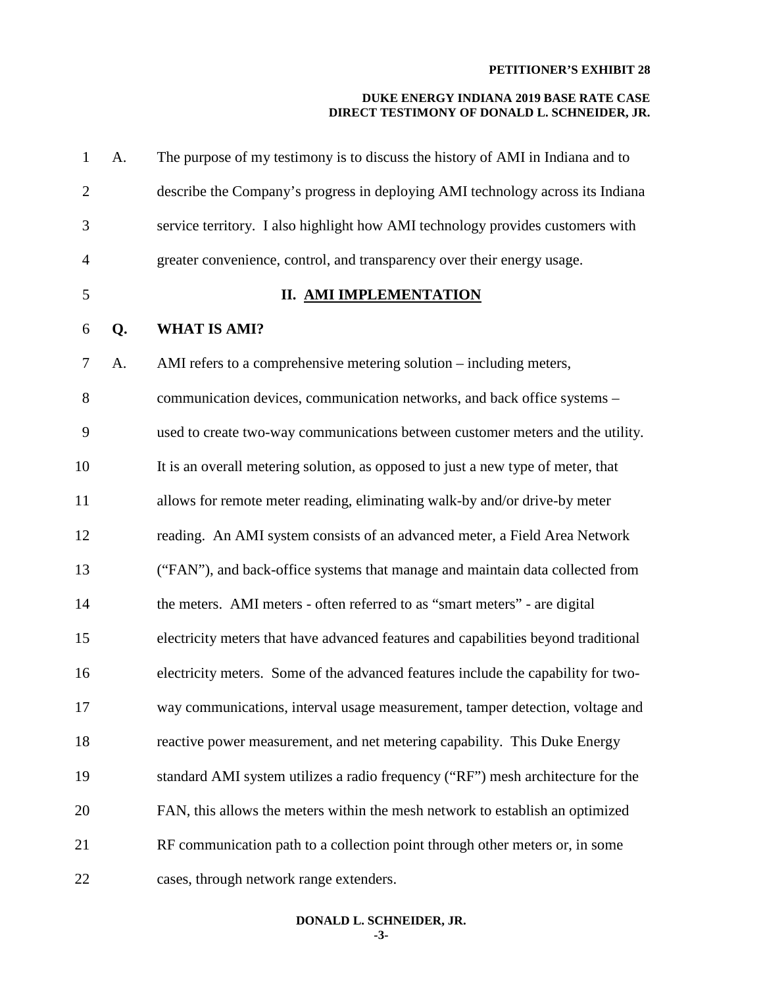| $\mathbf{1}$   | A. | The purpose of my testimony is to discuss the history of AMI in Indiana and to     |
|----------------|----|------------------------------------------------------------------------------------|
| $\overline{2}$ |    | describe the Company's progress in deploying AMI technology across its Indiana     |
| 3              |    | service territory. I also highlight how AMI technology provides customers with     |
| $\overline{4}$ |    | greater convenience, control, and transparency over their energy usage.            |
| 5              |    | <b>II. AMI IMPLEMENTATION</b>                                                      |
| 6              | Q. | <b>WHAT IS AMI?</b>                                                                |
| $\tau$         | A. | AMI refers to a comprehensive metering solution – including meters,                |
| 8              |    | communication devices, communication networks, and back office systems -           |
| 9              |    | used to create two-way communications between customer meters and the utility.     |
| 10             |    | It is an overall metering solution, as opposed to just a new type of meter, that   |
| 11             |    | allows for remote meter reading, eliminating walk-by and/or drive-by meter         |
| 12             |    | reading. An AMI system consists of an advanced meter, a Field Area Network         |
| 13             |    | ("FAN"), and back-office systems that manage and maintain data collected from      |
| 14             |    | the meters. AMI meters - often referred to as "smart meters" - are digital         |
| 15             |    | electricity meters that have advanced features and capabilities beyond traditional |
| 16             |    | electricity meters. Some of the advanced features include the capability for two-  |
| 17             |    | way communications, interval usage measurement, tamper detection, voltage and      |
| 18             |    | reactive power measurement, and net metering capability. This Duke Energy          |
| 19             |    | standard AMI system utilizes a radio frequency ("RF") mesh architecture for the    |
| 20             |    | FAN, this allows the meters within the mesh network to establish an optimized      |
| 21             |    | RF communication path to a collection point through other meters or, in some       |
| 22             |    | cases, through network range extenders.                                            |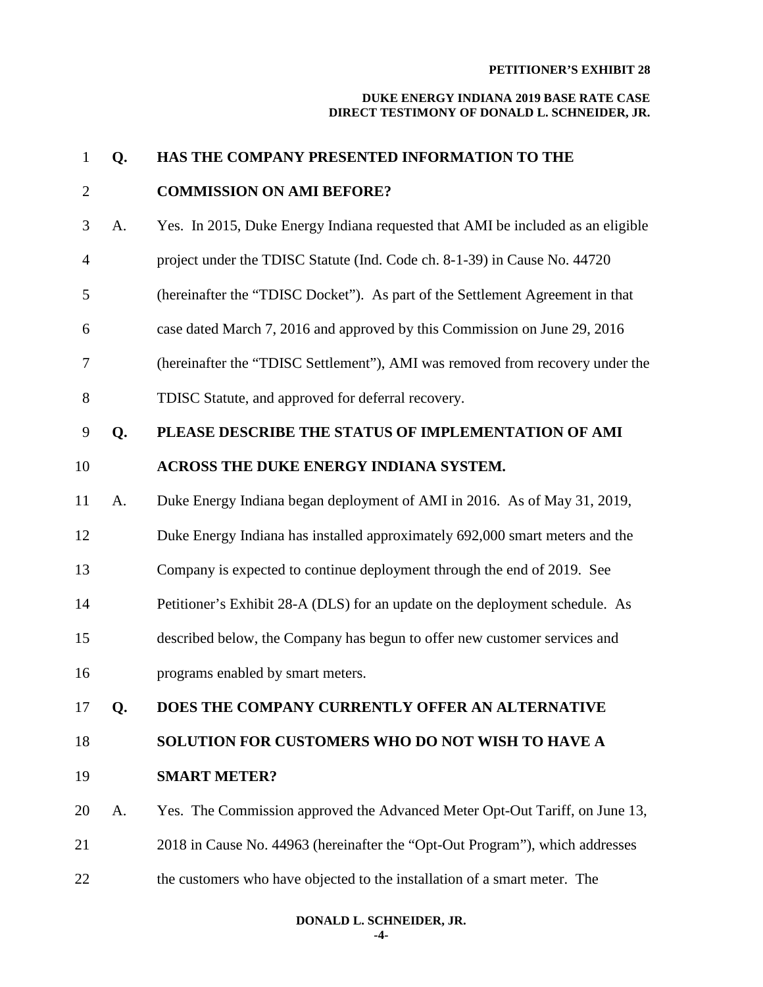| $\mathbf{1}$   | Q. | HAS THE COMPANY PRESENTED INFORMATION TO THE                                    |
|----------------|----|---------------------------------------------------------------------------------|
| $\overline{2}$ |    | <b>COMMISSION ON AMI BEFORE?</b>                                                |
| 3              | A. | Yes. In 2015, Duke Energy Indiana requested that AMI be included as an eligible |
| $\overline{4}$ |    | project under the TDISC Statute (Ind. Code ch. 8-1-39) in Cause No. 44720       |
| 5              |    | (hereinafter the "TDISC Docket"). As part of the Settlement Agreement in that   |
| 6              |    | case dated March 7, 2016 and approved by this Commission on June 29, 2016       |
| 7              |    | (hereinafter the "TDISC Settlement"), AMI was removed from recovery under the   |
| 8              |    | TDISC Statute, and approved for deferral recovery.                              |
| 9              | Q. | PLEASE DESCRIBE THE STATUS OF IMPLEMENTATION OF AMI                             |
| 10             |    | ACROSS THE DUKE ENERGY INDIANA SYSTEM.                                          |
| 11             | A. | Duke Energy Indiana began deployment of AMI in 2016. As of May 31, 2019,        |
| 12             |    | Duke Energy Indiana has installed approximately 692,000 smart meters and the    |
| 13             |    | Company is expected to continue deployment through the end of 2019. See         |
| 14             |    | Petitioner's Exhibit 28-A (DLS) for an update on the deployment schedule. As    |
| 15             |    | described below, the Company has begun to offer new customer services and       |
| 16             |    | programs enabled by smart meters.                                               |
| 17             | Q. | DOES THE COMPANY CURRENTLY OFFER AN ALTERNATIVE                                 |
| 18             |    | SOLUTION FOR CUSTOMERS WHO DO NOT WISH TO HAVE A                                |
| 19             |    | <b>SMART METER?</b>                                                             |
| 20             | A. | Yes. The Commission approved the Advanced Meter Opt-Out Tariff, on June 13,     |
| 21             |    | 2018 in Cause No. 44963 (hereinafter the "Opt-Out Program"), which addresses    |
| 22             |    | the customers who have objected to the installation of a smart meter. The       |
|                |    |                                                                                 |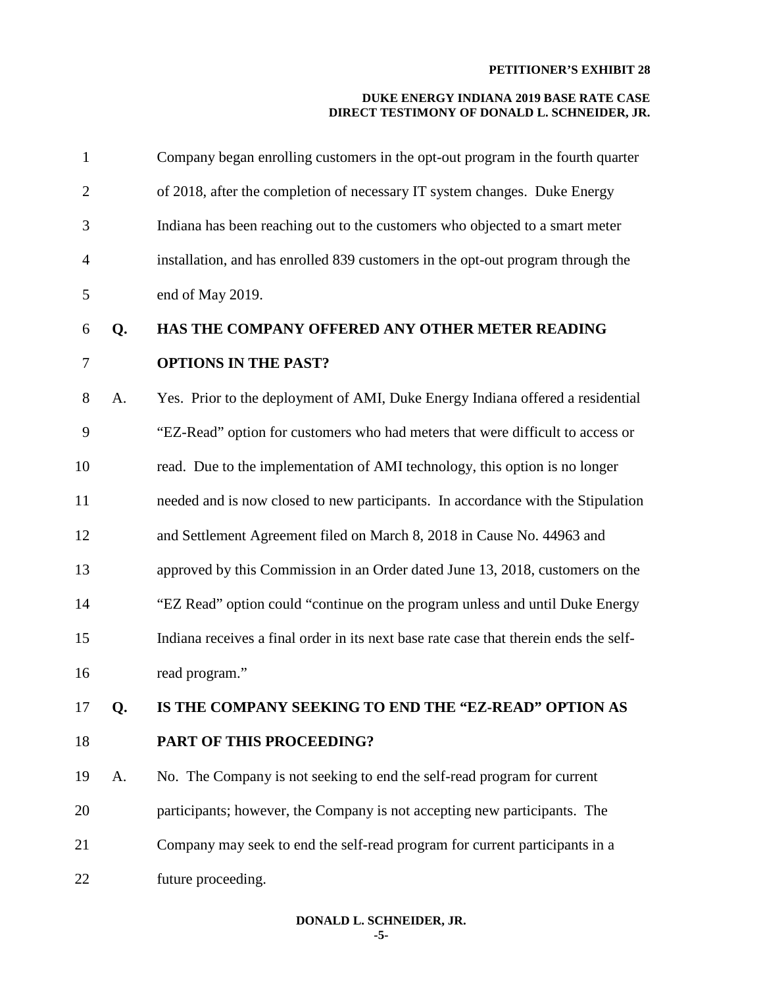| $\mathbf{1}$   |    | Company began enrolling customers in the opt-out program in the fourth quarter        |
|----------------|----|---------------------------------------------------------------------------------------|
| $\overline{2}$ |    | of 2018, after the completion of necessary IT system changes. Duke Energy             |
| 3              |    | Indiana has been reaching out to the customers who objected to a smart meter          |
| $\overline{4}$ |    | installation, and has enrolled 839 customers in the opt-out program through the       |
| 5              |    | end of May 2019.                                                                      |
| 6              | Q. | HAS THE COMPANY OFFERED ANY OTHER METER READING                                       |
| 7              |    | <b>OPTIONS IN THE PAST?</b>                                                           |
| 8              | A. | Yes. Prior to the deployment of AMI, Duke Energy Indiana offered a residential        |
| 9              |    | "EZ-Read" option for customers who had meters that were difficult to access or        |
| 10             |    | read. Due to the implementation of AMI technology, this option is no longer           |
| 11             |    | needed and is now closed to new participants. In accordance with the Stipulation      |
| 12             |    | and Settlement Agreement filed on March 8, 2018 in Cause No. 44963 and                |
| 13             |    | approved by this Commission in an Order dated June 13, 2018, customers on the         |
| 14             |    | "EZ Read" option could "continue on the program unless and until Duke Energy          |
| 15             |    | Indiana receives a final order in its next base rate case that therein ends the self- |
| 16             |    | read program."                                                                        |
| 17             | Q. | IS THE COMPANY SEEKING TO END THE "EZ-READ" OPTION AS                                 |
| 18             |    | PART OF THIS PROCEEDING?                                                              |
| 19             | A. | No. The Company is not seeking to end the self-read program for current               |
| 20             |    | participants; however, the Company is not accepting new participants. The             |
| 21             |    | Company may seek to end the self-read program for current participants in a           |
| 22             |    | future proceeding.                                                                    |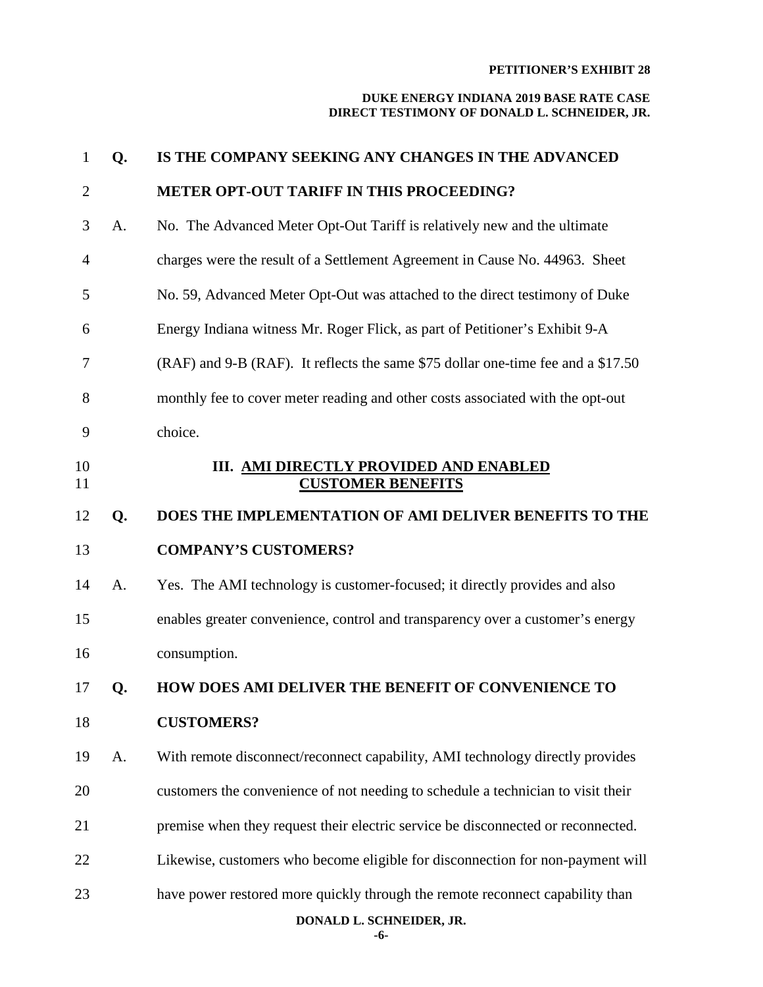#### **DUKE ENERGY INDIANA 2019 BASE RATE CASE DIRECT TESTIMONY OF DONALD L. SCHNEIDER, JR.**

| $\mathbf{1}$   | Q. | IS THE COMPANY SEEKING ANY CHANGES IN THE ADVANCED                               |
|----------------|----|----------------------------------------------------------------------------------|
| $\overline{2}$ |    | <b>METER OPT-OUT TARIFF IN THIS PROCEEDING?</b>                                  |
| 3              | A. | No. The Advanced Meter Opt-Out Tariff is relatively new and the ultimate         |
| $\overline{4}$ |    | charges were the result of a Settlement Agreement in Cause No. 44963. Sheet      |
| 5              |    | No. 59, Advanced Meter Opt-Out was attached to the direct testimony of Duke      |
| 6              |    | Energy Indiana witness Mr. Roger Flick, as part of Petitioner's Exhibit 9-A      |
| 7              |    | (RAF) and 9-B (RAF). It reflects the same \$75 dollar one-time fee and a \$17.50 |
| 8              |    | monthly fee to cover meter reading and other costs associated with the opt-out   |
| 9              |    | choice.                                                                          |
| 10<br>11       |    | III. AMI DIRECTLY PROVIDED AND ENABLED<br><b>CUSTOMER BENEFITS</b>               |
| 12             | Q. | DOES THE IMPLEMENTATION OF AMI DELIVER BENEFITS TO THE                           |
| 13             |    | <b>COMPANY'S CUSTOMERS?</b>                                                      |
| 14             | A. | Yes. The AMI technology is customer-focused; it directly provides and also       |
| 15             |    | enables greater convenience, control and transparency over a customer's energy   |
| 16             |    | consumption.                                                                     |
| 17             | Q. | HOW DOES AMI DELIVER THE BENEFIT OF CONVENIENCE TO                               |
| 18             |    | <b>CUSTOMERS?</b>                                                                |
| 19             | A. | With remote disconnect/reconnect capability, AMI technology directly provides    |
| 20             |    | customers the convenience of not needing to schedule a technician to visit their |
| 21             |    | premise when they request their electric service be disconnected or reconnected. |
| 22             |    | Likewise, customers who become eligible for disconnection for non-payment will   |
| 23             |    | have power restored more quickly through the remote reconnect capability than    |
|                |    |                                                                                  |

**DONALD L. SCHNEIDER, JR.**

**-6-**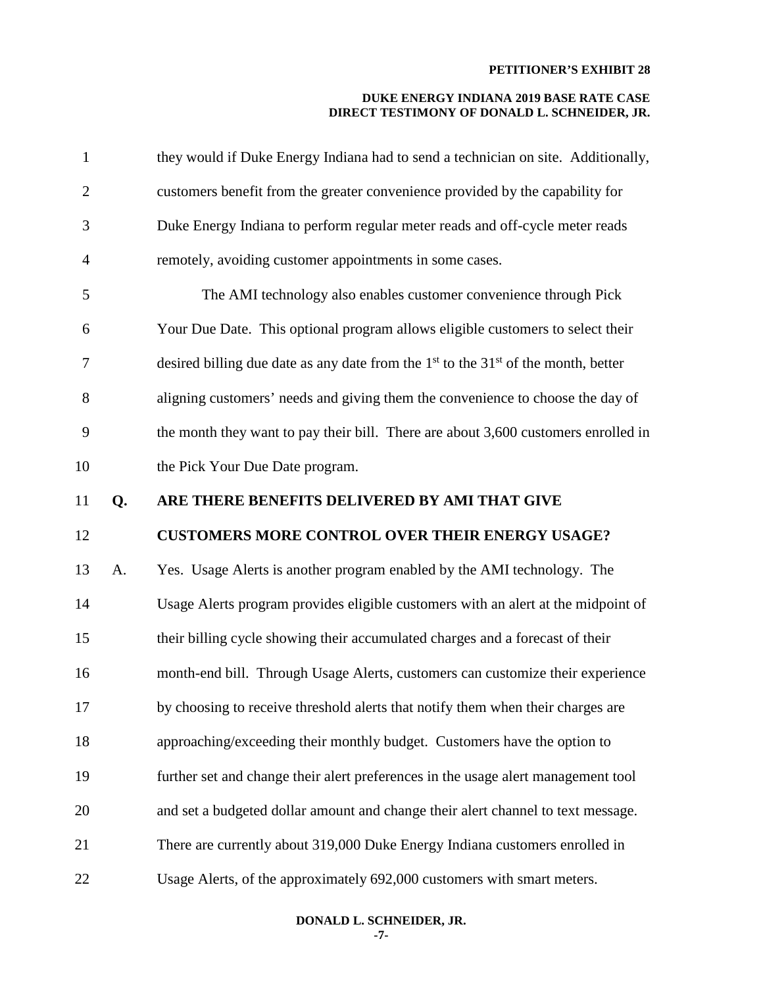#### **DUKE ENERGY INDIANA 2019 BASE RATE CASE DIRECT TESTIMONY OF DONALD L. SCHNEIDER, JR.**

| $\mathbf{1}$   |    | they would if Duke Energy Indiana had to send a technician on site. Additionally,      |
|----------------|----|----------------------------------------------------------------------------------------|
| $\overline{2}$ |    | customers benefit from the greater convenience provided by the capability for          |
| 3              |    | Duke Energy Indiana to perform regular meter reads and off-cycle meter reads           |
| 4              |    | remotely, avoiding customer appointments in some cases.                                |
| 5              |    | The AMI technology also enables customer convenience through Pick                      |
| 6              |    | Your Due Date. This optional program allows eligible customers to select their         |
| 7              |    | desired billing due date as any date from the $1st$ to the $31st$ of the month, better |
| $8\,$          |    | aligning customers' needs and giving them the convenience to choose the day of         |
| 9              |    | the month they want to pay their bill. There are about 3,600 customers enrolled in     |
| 10             |    | the Pick Your Due Date program.                                                        |
| 11             | Q. | ARE THERE BENEFITS DELIVERED BY AMI THAT GIVE                                          |
|                |    |                                                                                        |
| 12             |    | <b>CUSTOMERS MORE CONTROL OVER THEIR ENERGY USAGE?</b>                                 |
| 13             | A. | Yes. Usage Alerts is another program enabled by the AMI technology. The                |
| 14             |    | Usage Alerts program provides eligible customers with an alert at the midpoint of      |
| 15             |    | their billing cycle showing their accumulated charges and a forecast of their          |
| 16             |    | month-end bill. Through Usage Alerts, customers can customize their experience         |
| 17             |    | by choosing to receive threshold alerts that notify them when their charges are        |
| 18             |    | approaching/exceeding their monthly budget. Customers have the option to               |
| 19             |    | further set and change their alert preferences in the usage alert management tool      |
| 20             |    | and set a budgeted dollar amount and change their alert channel to text message.       |
| 21             |    | There are currently about 319,000 Duke Energy Indiana customers enrolled in            |

**DONALD L. SCHNEIDER, JR.**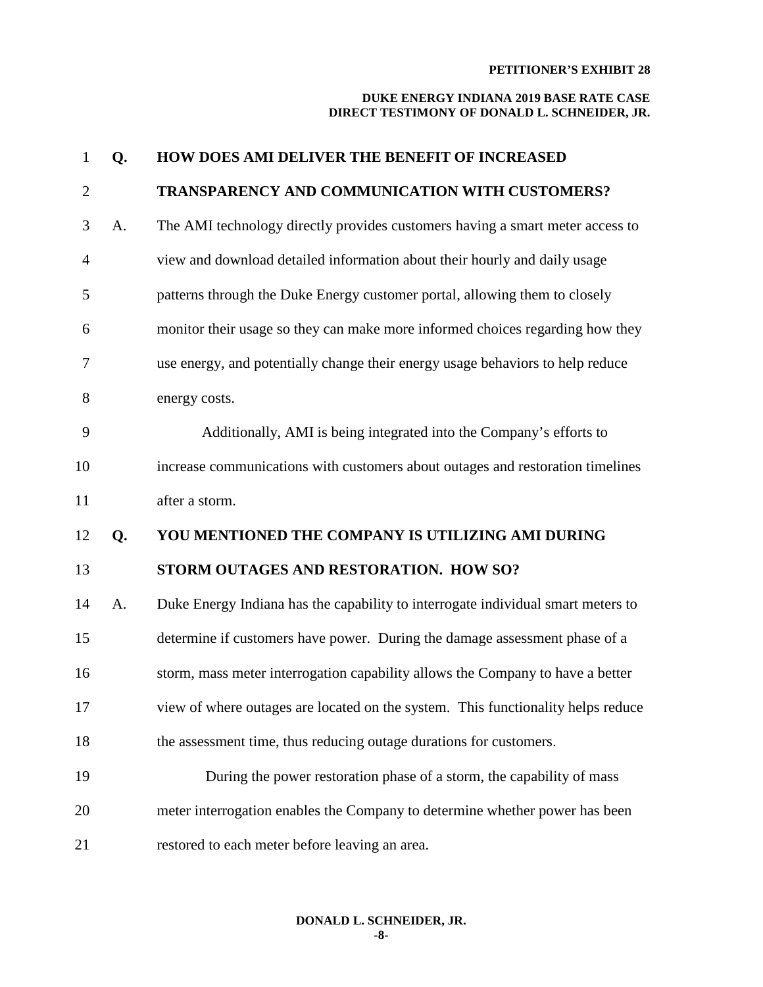| $\mathbf{1}$   | Q. | <b>HOW DOES AMI DELIVER THE BENEFIT OF INCREASED</b>                             |
|----------------|----|----------------------------------------------------------------------------------|
| $\overline{2}$ |    | TRANSPARENCY AND COMMUNICATION WITH CUSTOMERS?                                   |
| 3              | A. | The AMI technology directly provides customers having a smart meter access to    |
| $\overline{4}$ |    | view and download detailed information about their hourly and daily usage        |
| 5              |    | patterns through the Duke Energy customer portal, allowing them to closely       |
| 6              |    | monitor their usage so they can make more informed choices regarding how they    |
| 7              |    | use energy, and potentially change their energy usage behaviors to help reduce   |
| 8              |    | energy costs.                                                                    |
| 9              |    | Additionally, AMI is being integrated into the Company's efforts to              |
| 10             |    | increase communications with customers about outages and restoration timelines   |
| 11             |    | after a storm.                                                                   |
| 12             | Q. | YOU MENTIONED THE COMPANY IS UTILIZING AMI DURING                                |
| 13             |    | STORM OUTAGES AND RESTORATION. HOW SO?                                           |
| 14             | A. | Duke Energy Indiana has the capability to interrogate individual smart meters to |
| 15             |    | determine if customers have power. During the damage assessment phase of a       |
| 16             |    | storm, mass meter interrogation capability allows the Company to have a better   |
| 17             |    | view of where outages are located on the system. This functionality helps reduce |
| 18             |    | the assessment time, thus reducing outage durations for customers.               |
| 19             |    | During the power restoration phase of a storm, the capability of mass            |
| 20             |    | meter interrogation enables the Company to determine whether power has been      |
| 21             |    | restored to each meter before leaving an area.                                   |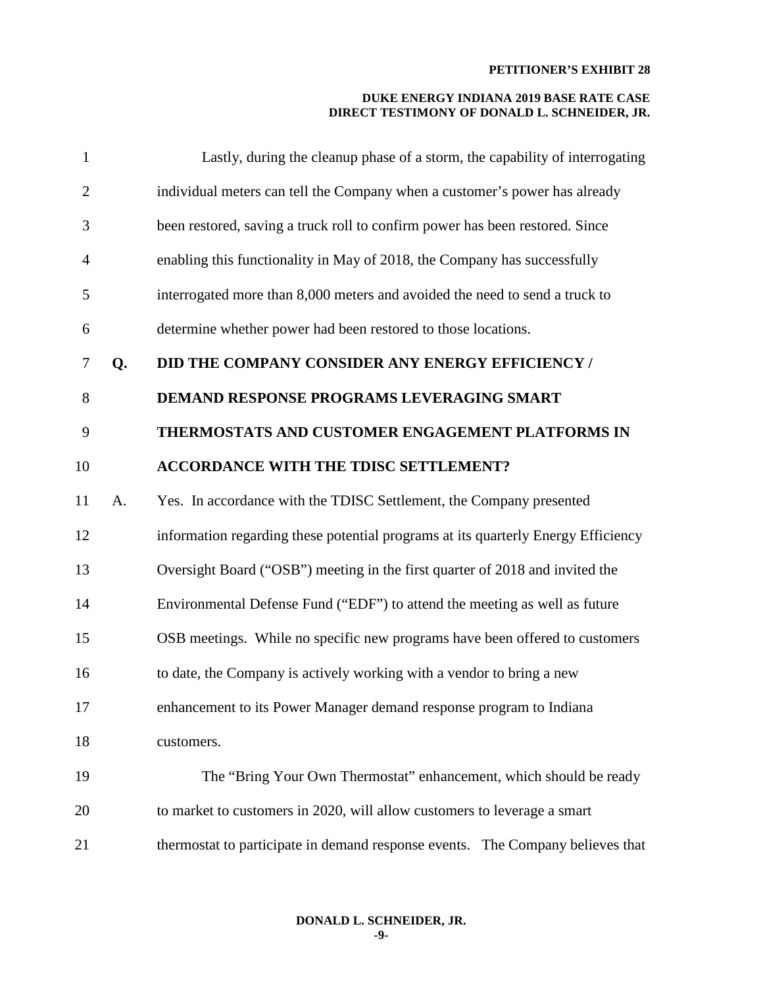#### **DUKE ENERGY INDIANA 2019 BASE RATE CASE DIRECT TESTIMONY OF DONALD L. SCHNEIDER, JR.**

| $\mathbf{1}$   |    | Lastly, during the cleanup phase of a storm, the capability of interrogating      |
|----------------|----|-----------------------------------------------------------------------------------|
| $\overline{2}$ |    | individual meters can tell the Company when a customer's power has already        |
| 3              |    | been restored, saving a truck roll to confirm power has been restored. Since      |
| $\overline{4}$ |    | enabling this functionality in May of 2018, the Company has successfully          |
| 5              |    | interrogated more than 8,000 meters and avoided the need to send a truck to       |
| 6              |    | determine whether power had been restored to those locations.                     |
| 7              | Q. | DID THE COMPANY CONSIDER ANY ENERGY EFFICIENCY /                                  |
| 8              |    | DEMAND RESPONSE PROGRAMS LEVERAGING SMART                                         |
| 9              |    | THERMOSTATS AND CUSTOMER ENGAGEMENT PLATFORMS IN                                  |
| 10             |    | <b>ACCORDANCE WITH THE TDISC SETTLEMENT?</b>                                      |
| 11             | A. | Yes. In accordance with the TDISC Settlement, the Company presented               |
| 12             |    | information regarding these potential programs at its quarterly Energy Efficiency |
| 13             |    | Oversight Board ("OSB") meeting in the first quarter of 2018 and invited the      |
| 14             |    | Environmental Defense Fund ("EDF") to attend the meeting as well as future        |
| 15             |    | OSB meetings. While no specific new programs have been offered to customers       |
| 16             |    | to date, the Company is actively working with a vendor to bring a new             |
| 17             |    | enhancement to its Power Manager demand response program to Indiana               |
| 18             |    | customers.                                                                        |
| 19             |    | The "Bring Your Own Thermostat" enhancement, which should be ready                |
| 20             |    | to market to customers in 2020, will allow customers to leverage a smart          |
| 21             |    | thermostat to participate in demand response events. The Company believes that    |

# **DONALD L. SCHNEIDER, JR.**

**-9-**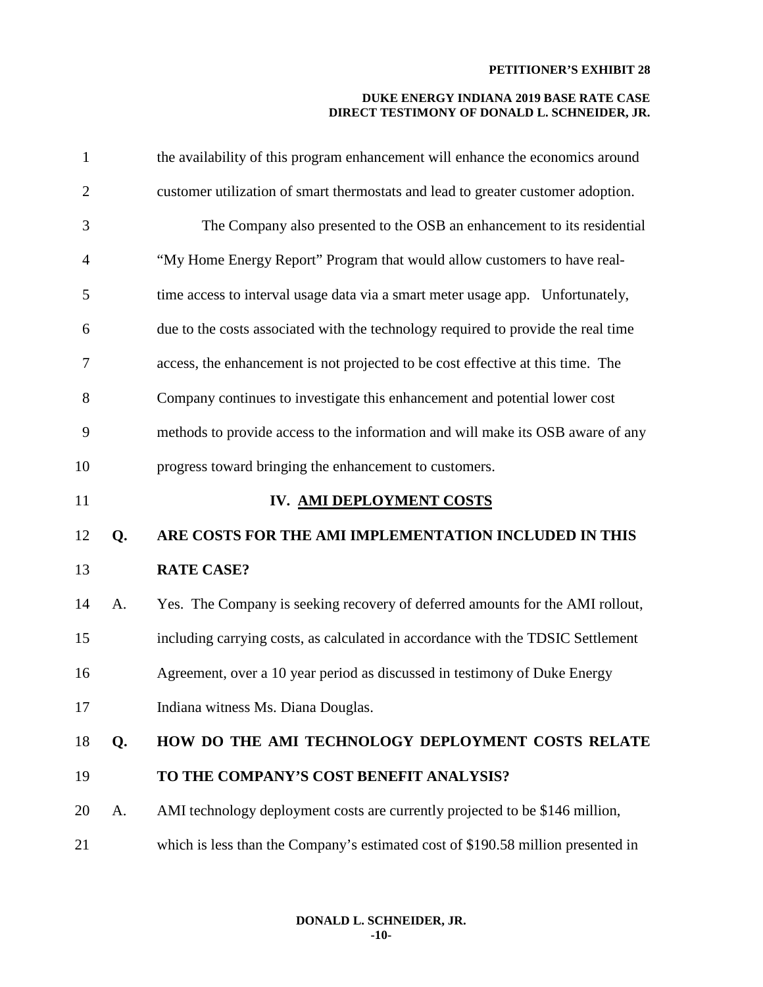| $\mathbf{1}$   |    | the availability of this program enhancement will enhance the economics around    |
|----------------|----|-----------------------------------------------------------------------------------|
| $\overline{2}$ |    | customer utilization of smart thermostats and lead to greater customer adoption.  |
| 3              |    | The Company also presented to the OSB an enhancement to its residential           |
| $\overline{4}$ |    | "My Home Energy Report" Program that would allow customers to have real-          |
| 5              |    | time access to interval usage data via a smart meter usage app. Unfortunately,    |
| 6              |    | due to the costs associated with the technology required to provide the real time |
| 7              |    | access, the enhancement is not projected to be cost effective at this time. The   |
| 8              |    | Company continues to investigate this enhancement and potential lower cost        |
| 9              |    | methods to provide access to the information and will make its OSB aware of any   |
| 10             |    | progress toward bringing the enhancement to customers.                            |
| 11             |    | IV. AMI DEPLOYMENT COSTS                                                          |
| 12             | Q. | ARE COSTS FOR THE AMI IMPLEMENTATION INCLUDED IN THIS                             |
| 13             |    | <b>RATE CASE?</b>                                                                 |
| 14             | A. | Yes. The Company is seeking recovery of deferred amounts for the AMI rollout,     |
| 15             |    | including carrying costs, as calculated in accordance with the TDSIC Settlement   |
| 16             |    | Agreement, over a 10 year period as discussed in testimony of Duke Energy         |
| 17             |    | Indiana witness Ms. Diana Douglas.                                                |
| 18             | Q. | HOW DO THE AMI TECHNOLOGY DEPLOYMENT COSTS RELATE                                 |
| 19             |    | TO THE COMPANY'S COST BENEFIT ANALYSIS?                                           |
| 20             | A. | AMI technology deployment costs are currently projected to be \$146 million,      |
| 21             |    | which is less than the Company's estimated cost of \$190.58 million presented in  |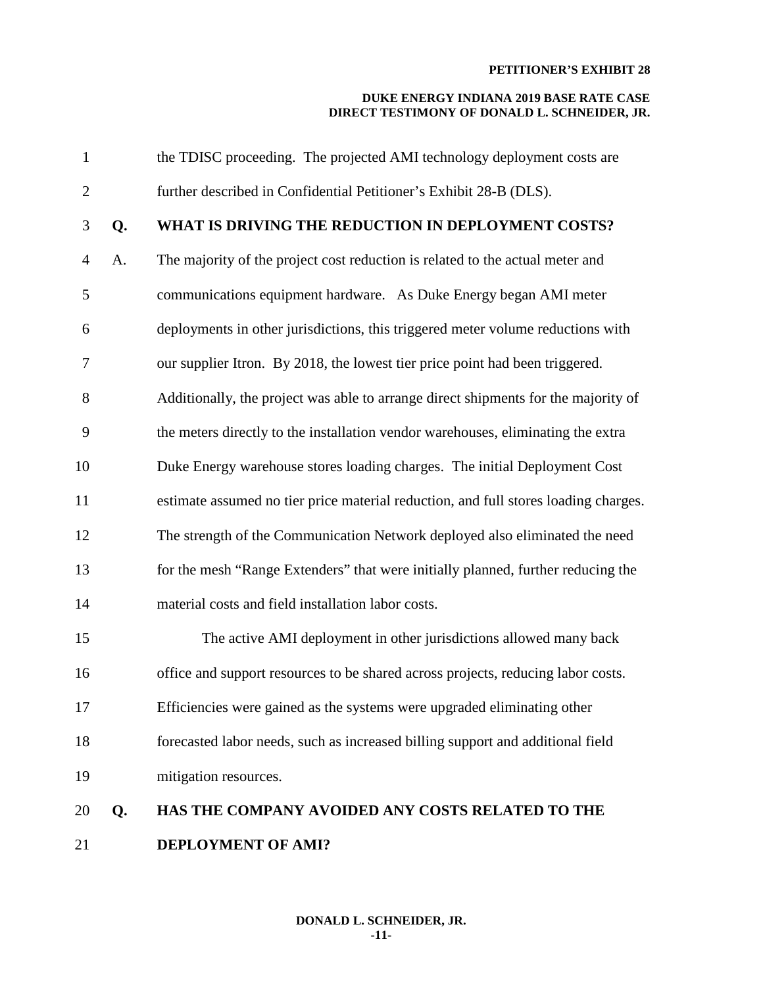| $\mathbf{1}$   |    | the TDISC proceeding. The projected AMI technology deployment costs are             |
|----------------|----|-------------------------------------------------------------------------------------|
| $\mathbf{2}$   |    | further described in Confidential Petitioner's Exhibit 28-B (DLS).                  |
| 3              | Q. | WHAT IS DRIVING THE REDUCTION IN DEPLOYMENT COSTS?                                  |
| $\overline{4}$ | A. | The majority of the project cost reduction is related to the actual meter and       |
| 5              |    | communications equipment hardware. As Duke Energy began AMI meter                   |
| 6              |    | deployments in other jurisdictions, this triggered meter volume reductions with     |
| $\tau$         |    | our supplier Itron. By 2018, the lowest tier price point had been triggered.        |
| 8              |    | Additionally, the project was able to arrange direct shipments for the majority of  |
| 9              |    | the meters directly to the installation vendor warehouses, eliminating the extra    |
| 10             |    | Duke Energy warehouse stores loading charges. The initial Deployment Cost           |
| 11             |    | estimate assumed no tier price material reduction, and full stores loading charges. |
| 12             |    | The strength of the Communication Network deployed also eliminated the need         |
| 13             |    | for the mesh "Range Extenders" that were initially planned, further reducing the    |
| 14             |    | material costs and field installation labor costs.                                  |
| 15             |    | The active AMI deployment in other jurisdictions allowed many back                  |
| 16             |    | office and support resources to be shared across projects, reducing labor costs.    |
| 17             |    | Efficiencies were gained as the systems were upgraded eliminating other             |
| 18             |    | forecasted labor needs, such as increased billing support and additional field      |
| 19             |    | mitigation resources.                                                               |
| 20             | Q. | HAS THE COMPANY AVOIDED ANY COSTS RELATED TO THE                                    |
| 21             |    | <b>DEPLOYMENT OF AMI?</b>                                                           |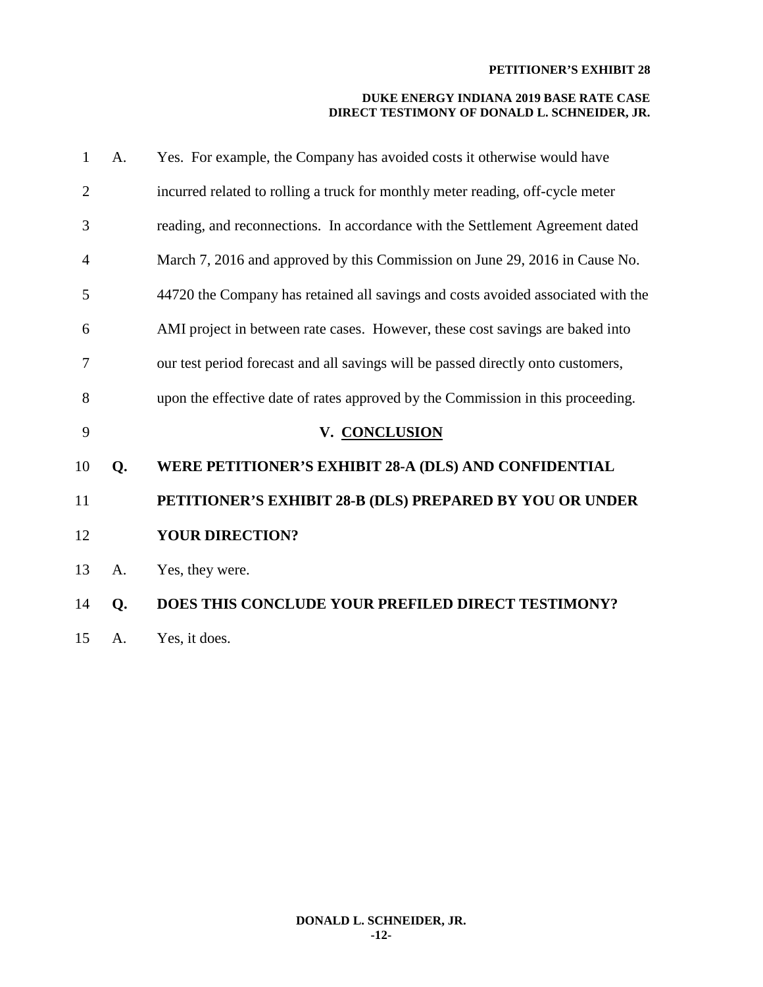| 1              | A. | Yes. For example, the Company has avoided costs it otherwise would have          |
|----------------|----|----------------------------------------------------------------------------------|
| $\overline{2}$ |    | incurred related to rolling a truck for monthly meter reading, off-cycle meter   |
| 3              |    | reading, and reconnections. In accordance with the Settlement Agreement dated    |
| 4              |    | March 7, 2016 and approved by this Commission on June 29, 2016 in Cause No.      |
| 5              |    | 44720 the Company has retained all savings and costs avoided associated with the |
| 6              |    | AMI project in between rate cases. However, these cost savings are baked into    |
| 7              |    | our test period forecast and all savings will be passed directly onto customers, |
| 8              |    | upon the effective date of rates approved by the Commission in this proceeding.  |
| 9              |    | V. CONCLUSION                                                                    |
| 10             | Q. | WERE PETITIONER'S EXHIBIT 28-A (DLS) AND CONFIDENTIAL                            |
| 11             |    | PETITIONER'S EXHIBIT 28-B (DLS) PREPARED BY YOU OR UNDER                         |
| 12             |    | <b>YOUR DIRECTION?</b>                                                           |
| 13             | A. | Yes, they were.                                                                  |
| 14             | Q. | <b>DOES THIS CONCLUDE YOUR PREFILED DIRECT TESTIMONY?</b>                        |
| 15             | A. | Yes, it does.                                                                    |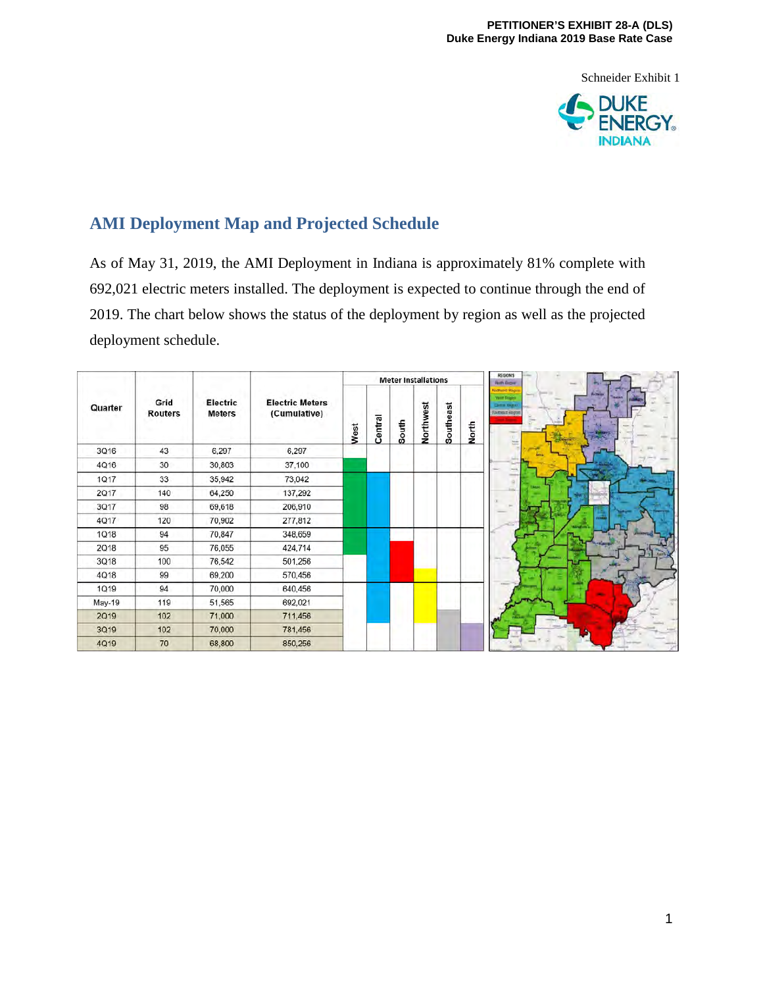Schneider Exhibit 1



# **AMI Deployment Map and Projected Schedule**

As of May 31, 2019, the AMI Deployment in Indiana is approximately 81% complete with 692,021 electric meters installed. The deployment is expected to continue through the end of 2019. The chart below shows the status of the deployment by region as well as the projected deployment schedule.

| Quarter     | Grid<br><b>Routers</b> | Electric<br><b>Meters</b> | <b>Electric Meters</b><br>(Cumulative) | <b>Meter Installations</b> |         |       |           |           |       | <b>REGIONS</b><br><b>North Briganni</b>                           |  |
|-------------|------------------------|---------------------------|----------------------------------------|----------------------------|---------|-------|-----------|-----------|-------|-------------------------------------------------------------------|--|
|             |                        |                           |                                        | West                       | Central | South | Northwest | Southeast | North | <b>Wall Bugins</b><br><b>Index Hooper</b><br><b>Samuat Region</b> |  |
| 3Q16        | 43                     | 6,297                     | 6,297                                  |                            |         |       |           |           |       |                                                                   |  |
| 4Q16        | 30                     | 30,803                    | 37,100                                 |                            |         |       |           |           |       |                                                                   |  |
| 1Q17        | 33                     | 35,942                    | 73,042                                 |                            |         |       |           |           |       |                                                                   |  |
| 2Q17        | 140                    | 64,250                    | 137,292                                |                            |         |       |           |           |       |                                                                   |  |
| <b>3Q17</b> | 98                     | 69,618                    | 206,910                                |                            |         |       |           |           |       |                                                                   |  |
| 4Q17        | 120                    | 70,902                    | 277,812                                |                            |         |       |           |           |       |                                                                   |  |
| 1Q18        | 94                     | 70,847                    | 348,659                                |                            |         |       |           |           |       |                                                                   |  |
| 2018        | 95                     | 76,055                    | 424,714                                |                            |         |       |           |           |       |                                                                   |  |
| 3Q18        | 100                    | 76,542                    | 501,256                                |                            |         |       |           |           |       |                                                                   |  |
| 4Q18        | 99                     | 69,200                    | 570,456                                |                            |         |       |           |           |       |                                                                   |  |
| 1Q19        | 94                     | 70,000                    | 640,456                                |                            |         |       |           |           |       |                                                                   |  |
| May-19      | 119                    | 51,565                    | 692,021                                |                            |         |       |           |           |       |                                                                   |  |
| 2019        | 102                    | 71,000                    | 711,456                                |                            |         |       |           |           |       |                                                                   |  |
| 3Q19        | 102                    | 70,000                    | 781,456                                |                            |         |       |           |           |       |                                                                   |  |
| 4Q19        | 70                     | 68,800                    | 850,256                                |                            |         |       |           |           |       |                                                                   |  |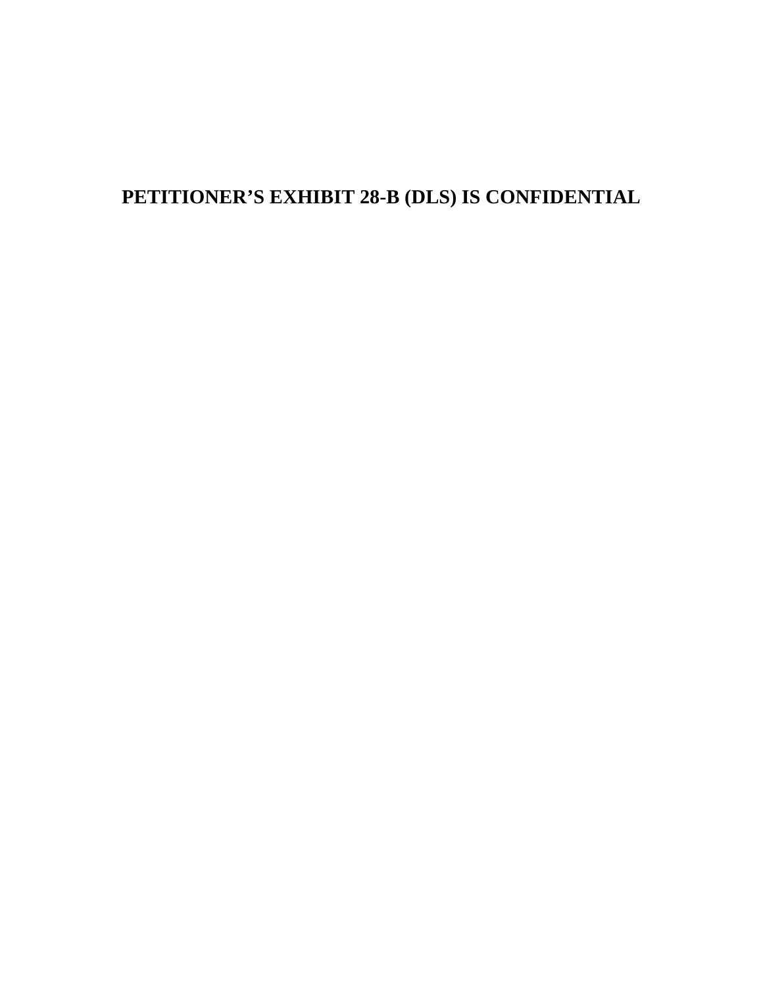# **PETITIONER'S EXHIBIT 28-B (DLS) IS CONFIDENTIAL**